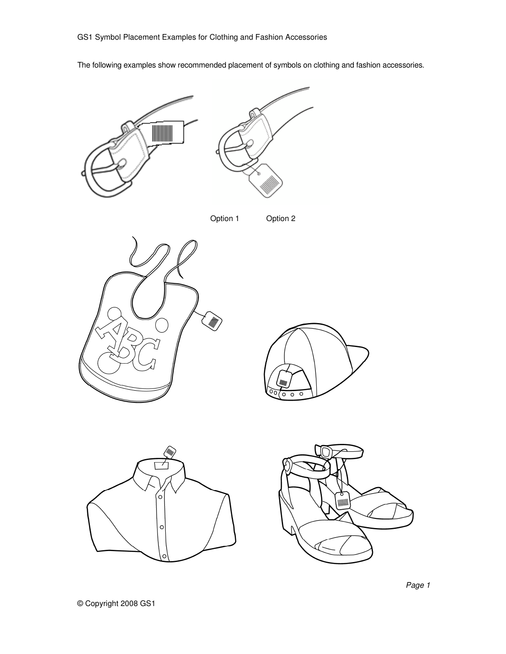The following examples show recommended placement of symbols on clothing and fashion accessories.



Page 1

© Copyright 2008 GS1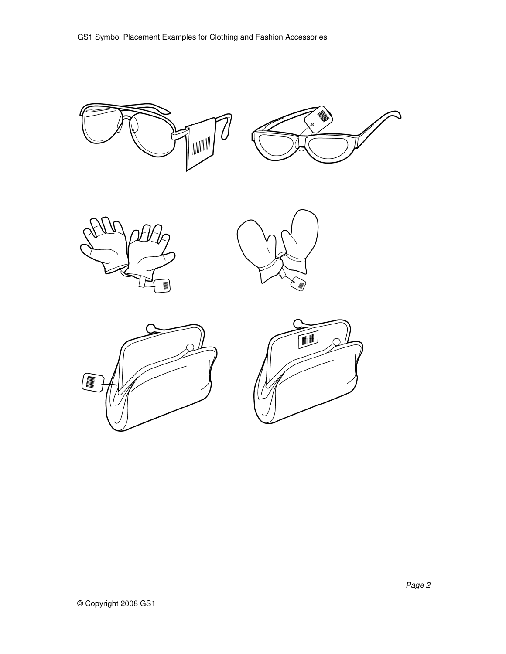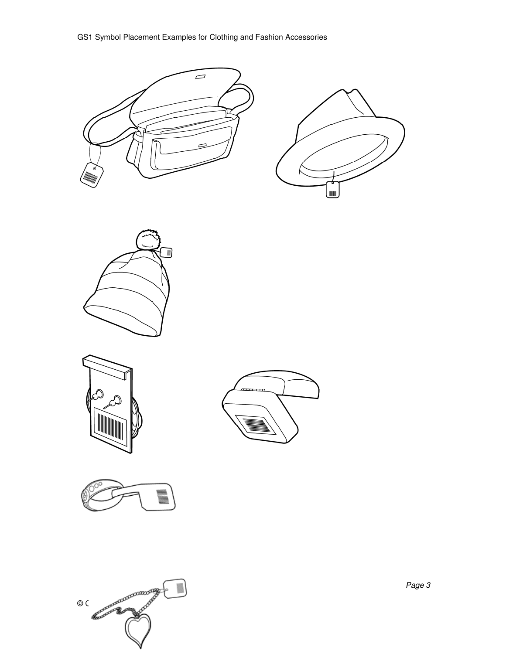













Page 3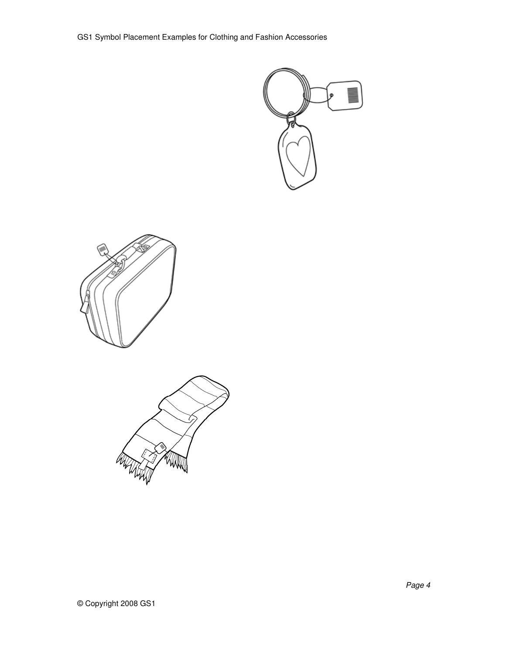



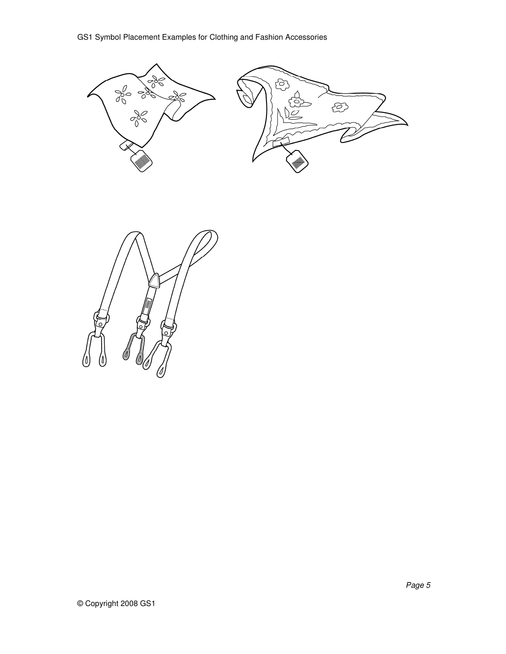

$$
\frac{1}{\sqrt{1-\frac{1}{\sqrt{1-\frac{1}{\sqrt{1-\frac{1}{\sqrt{1-\frac{1}{\sqrt{1-\frac{1}{\sqrt{1-\frac{1}{\sqrt{1-\frac{1}{\sqrt{1-\frac{1}{\sqrt{1-\frac{1}{\sqrt{1-\frac{1}{\sqrt{1-\frac{1}{\sqrt{1-\frac{1}{\sqrt{1-\frac{1}{\sqrt{1-\frac{1}{\sqrt{1-\frac{1}{\sqrt{1-\frac{1}{\sqrt{1-\frac{1}{\sqrt{1-\frac{1}{\sqrt{1-\frac{1}{\sqrt{1-\frac{1}{\sqrt{1-\frac{1}{\sqrt{1-\frac{1}{\sqrt{1-\frac{1}{\sqrt{1-\frac{1}{\sqrt{1-\frac{1}{\sqrt{1-\frac{1}{\sqrt{1-\frac{1}{\sqrt{1-\frac{1}{\sqrt{1-\frac{1}{\sqrt{1-\frac{1}{1-\frac{1}{\sqrt{1-\frac{1}{\sqrt{1-\frac{1}{\sqrt{1-\frac{1}{1-\frac{1}{\sqrt{1-\frac{1}{1-\frac{1}{\sqrt{1-\frac{1}{1-\frac{1}{\sqrt{1-\frac{1}{1-\frac{1}{\sqrt{1-\frac{1}{1-\frac{1}{\sqrt{1-\frac{1}{1-\frac{1}{\sqrt{1-\frac{1}{1-\frac{1}{\sqrt{1-\frac{1}{1-\frac{1}{\sqrt{1-\frac{1}{1-\frac{1}{\sqrt{1-\frac{1}{1-\frac{1}{1-\frac{1}{\sqrt{1-\frac{1}{1-\frac{1}{\sqrt{1-\frac{1}{1-\frac{1}{1-\frac{1}{\sqrt{1-\frac{1}{1-\frac{1}{\sqrt{1-\frac{1}{1-\frac{1}{1-\frac{1}{1-\frac{1}{1-\frac{1}{1-\frac{1}{1-\frac{1}{1-\frac{1}{1-\frac{1}{1-\frac{1}{1-\frac{1}{1-\frac{1}{1-\frac{1}{1-\frac{1}{1-\frac{1}{1-\frac{1}{1-\frac{1}{1-\frac{1}{1-\frac{1}{1-\frac{1}{1-\frac{1}{1-\frac{1}{1-\frac{1}{1-\frac{1}{1-\frac{1}{1-\frac{1}{1-\frac{1}{1-\frac{1}{1-\frac{1}{1-\frac{1}{1-\frac{1}{1-\frac{1}{1-\frac{1}{1-\frac{1}{1-\frac{1}{1-\frac{1}{1-\frac{1}{1-\frac{1}{1-\frac{1}{1-\frac{1}{1-\frac{1}{1-\frac{1}{1-\
$$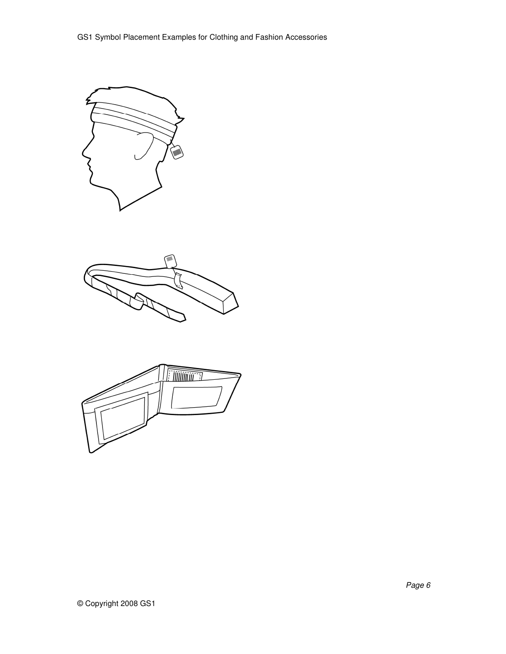



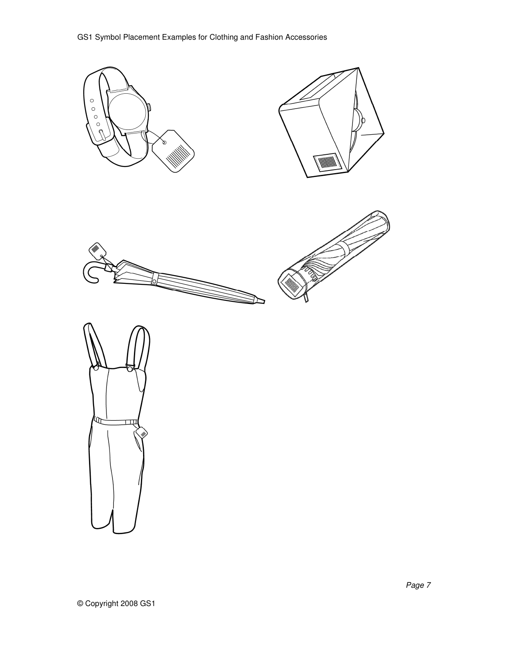





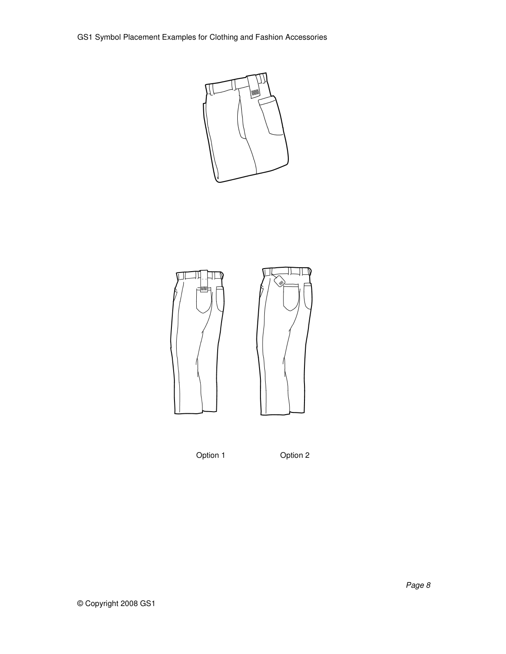

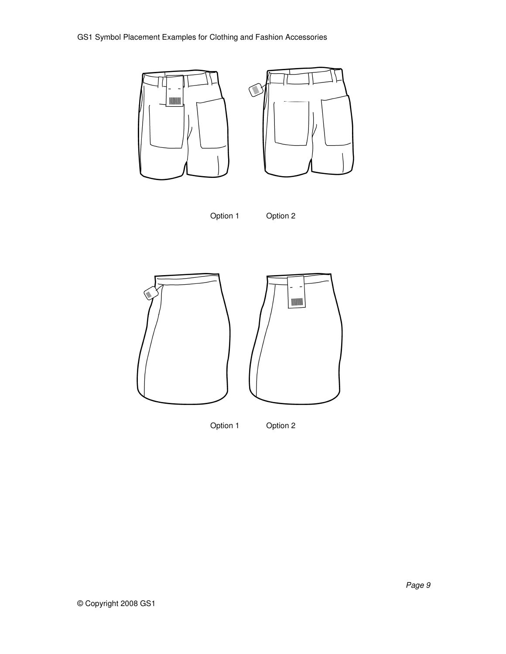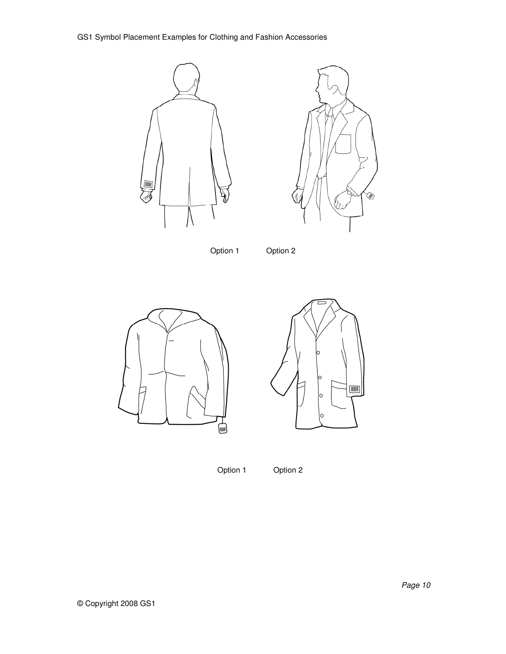



Option 1 Option 2





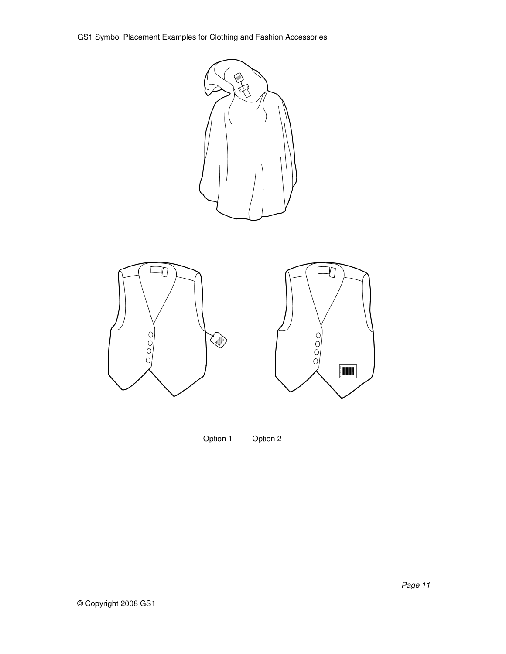





**THE REAL**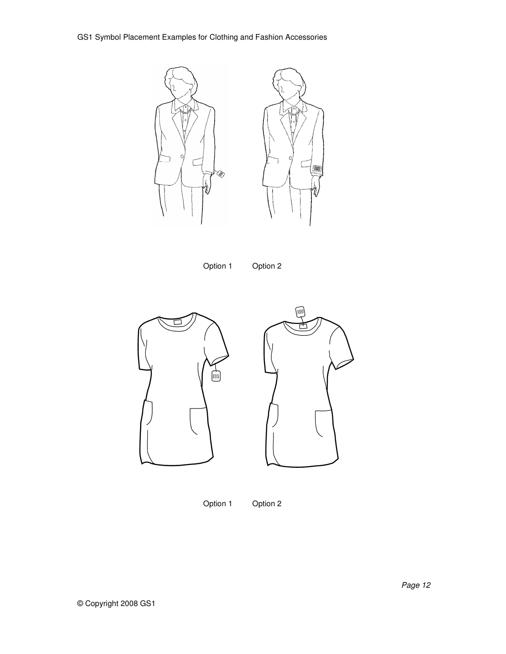





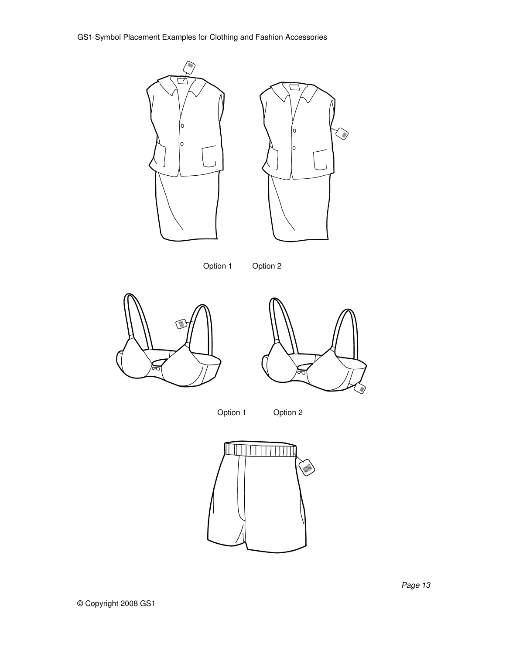



Option 1 Option 2





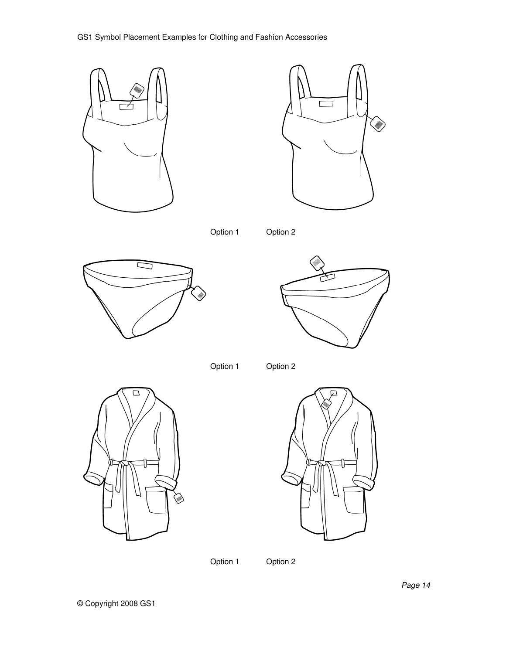